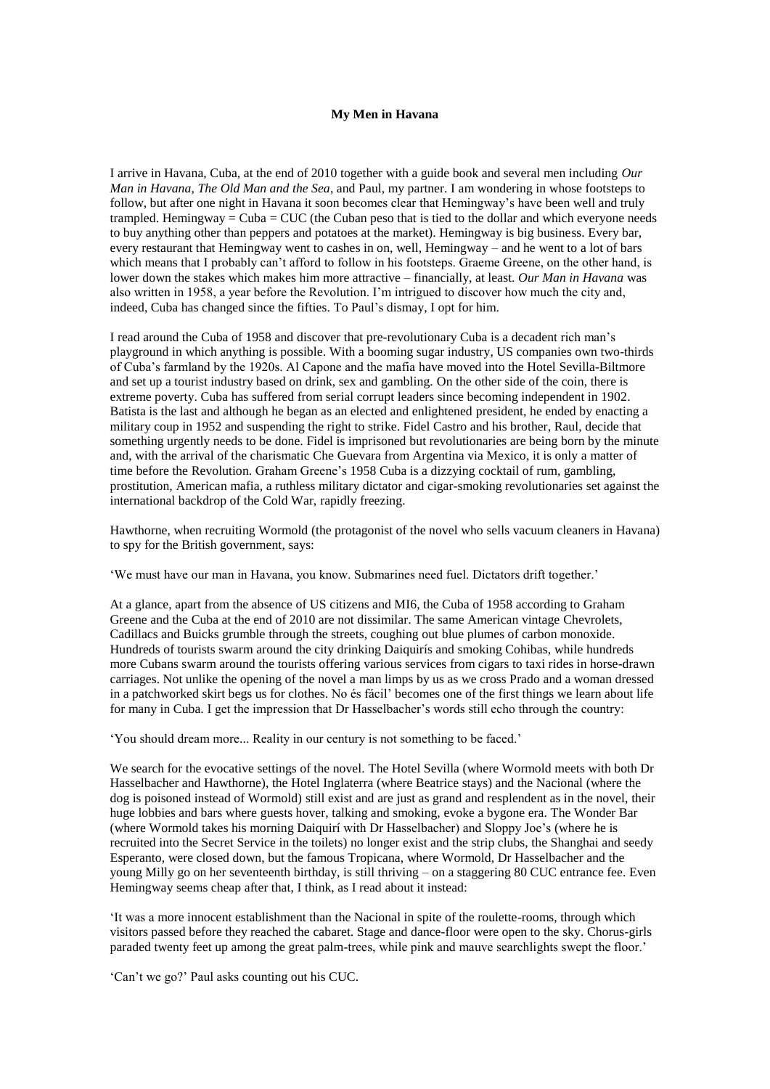## **My Men in Havana**

I arrive in Havana, Cuba, at the end of 2010 together with a guide book and several men including *Our Man in Havana*, *The Old Man and the Sea*, and Paul, my partner. I am wondering in whose footsteps to follow, but after one night in Havana it soon becomes clear that Hemingway's have been well and truly trampled. Hemingway =  $Cuba = CUC$  (the Cuban peso that is tied to the dollar and which everyone needs to buy anything other than peppers and potatoes at the market). Hemingway is big business. Every bar, every restaurant that Hemingway went to cashes in on, well, Hemingway – and he went to a lot of bars which means that I probably can't afford to follow in his footsteps. Graeme Greene, on the other hand, is lower down the stakes which makes him more attractive – financially, at least. *Our Man in Havana* was also written in 1958, a year before the Revolution. I'm intrigued to discover how much the city and, indeed, Cuba has changed since the fifties. To Paul's dismay, I opt for him.

I read around the Cuba of 1958 and discover that pre-revolutionary Cuba is a decadent rich man's playground in which anything is possible. With a booming sugar industry, US companies own two-thirds of Cuba's farmland by the 1920s. Al Capone and the mafia have moved into the Hotel Sevilla-Biltmore and set up a tourist industry based on drink, sex and gambling. On the other side of the coin, there is extreme poverty. Cuba has suffered from serial corrupt leaders since becoming independent in 1902. Batista is the last and although he began as an elected and enlightened president, he ended by enacting a military coup in 1952 and suspending the right to strike. Fidel Castro and his brother, Raul, decide that something urgently needs to be done. Fidel is imprisoned but revolutionaries are being born by the minute and, with the arrival of the charismatic Che Guevara from Argentina via Mexico, it is only a matter of time before the Revolution. Graham Greene's 1958 Cuba is a dizzying cocktail of rum, gambling, prostitution, American mafia, a ruthless military dictator and cigar-smoking revolutionaries set against the international backdrop of the Cold War, rapidly freezing.

Hawthorne, when recruiting Wormold (the protagonist of the novel who sells vacuum cleaners in Havana) to spy for the British government, says:

'We must have our man in Havana, you know. Submarines need fuel. Dictators drift together.'

At a glance, apart from the absence of US citizens and MI6, the Cuba of 1958 according to Graham Greene and the Cuba at the end of 2010 are not dissimilar. The same American vintage Chevrolets, Cadillacs and Buicks grumble through the streets, coughing out blue plumes of carbon monoxide. Hundreds of tourists swarm around the city drinking Daiquirís and smoking Cohibas, while hundreds more Cubans swarm around the tourists offering various services from cigars to taxi rides in horse-drawn carriages. Not unlike the opening of the novel a man limps by us as we cross Prado and a woman dressed in a patchworked skirt begs us for clothes. No és fácil' becomes one of the first things we learn about life for many in Cuba. I get the impression that Dr Hasselbacher's words still echo through the country:

'You should dream more... Reality in our century is not something to be faced.'

We search for the evocative settings of the novel. The Hotel Sevilla (where Wormold meets with both Dr Hasselbacher and Hawthorne), the Hotel Inglaterra (where Beatrice stays) and the Nacional (where the dog is poisoned instead of Wormold) still exist and are just as grand and resplendent as in the novel, their huge lobbies and bars where guests hover, talking and smoking, evoke a bygone era. The Wonder Bar (where Wormold takes his morning Daiquirí with Dr Hasselbacher) and Sloppy Joe's (where he is recruited into the Secret Service in the toilets) no longer exist and the strip clubs, the Shanghai and seedy Esperanto, were closed down, but the famous Tropicana, where Wormold, Dr Hasselbacher and the young Milly go on her seventeenth birthday, is still thriving – on a staggering 80 CUC entrance fee. Even Hemingway seems cheap after that, I think, as I read about it instead:

'It was a more innocent establishment than the Nacional in spite of the roulette-rooms, through which visitors passed before they reached the cabaret. Stage and dance-floor were open to the sky. Chorus-girls paraded twenty feet up among the great palm-trees, while pink and mauve searchlights swept the floor.'

'Can't we go?' Paul asks counting out his CUC.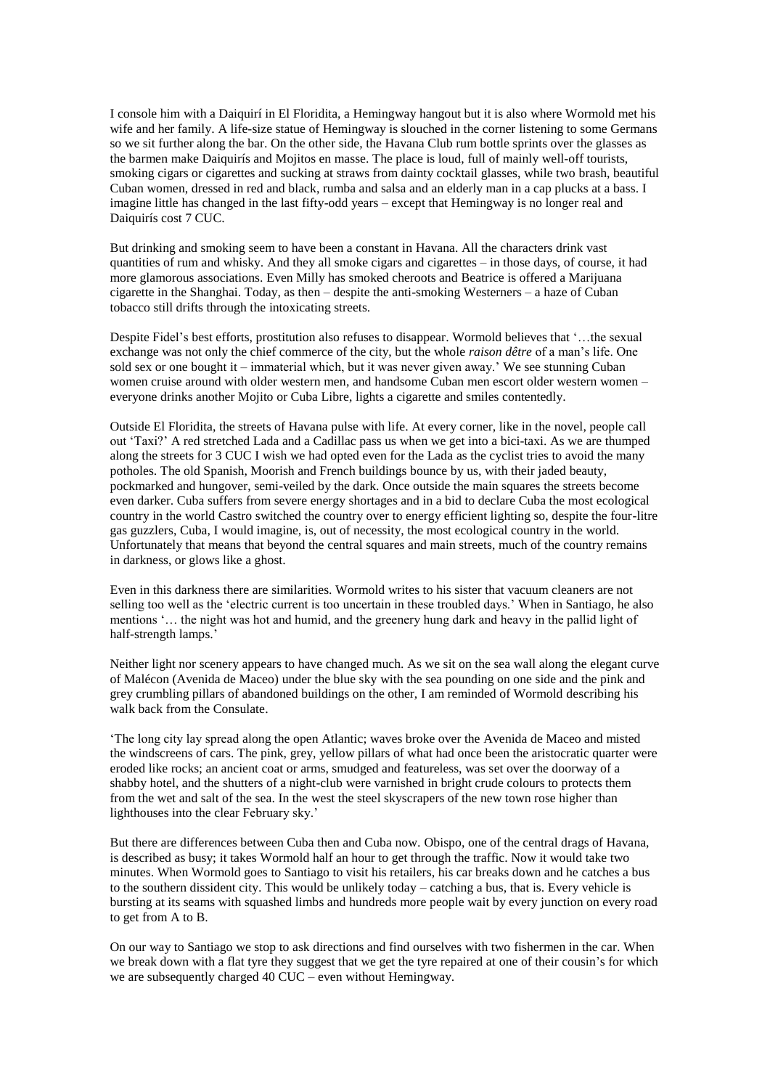I console him with a Daiquirí in El Floridita, a Hemingway hangout but it is also where Wormold met his wife and her family. A life-size statue of Hemingway is slouched in the corner listening to some Germans so we sit further along the bar. On the other side, the Havana Club rum bottle sprints over the glasses as the barmen make Daiquirís and Mojitos en masse. The place is loud, full of mainly well-off tourists, smoking cigars or cigarettes and sucking at straws from dainty cocktail glasses, while two brash, beautiful Cuban women, dressed in red and black, rumba and salsa and an elderly man in a cap plucks at a bass. I imagine little has changed in the last fifty-odd years – except that Hemingway is no longer real and Daiquirís cost 7 CUC.

But drinking and smoking seem to have been a constant in Havana. All the characters drink vast quantities of rum and whisky. And they all smoke cigars and cigarettes – in those days, of course, it had more glamorous associations. Even Milly has smoked cheroots and Beatrice is offered a Marijuana cigarette in the Shanghai. Today, as then – despite the anti-smoking Westerners – a haze of Cuban tobacco still drifts through the intoxicating streets.

Despite Fidel's best efforts, prostitution also refuses to disappear. Wormold believes that '…the sexual exchange was not only the chief commerce of the city, but the whole *raison dêtre* of a man's life. One sold sex or one bought it – immaterial which, but it was never given away.' We see stunning Cuban women cruise around with older western men, and handsome Cuban men escort older western women – everyone drinks another Mojito or Cuba Libre, lights a cigarette and smiles contentedly.

Outside El Floridita, the streets of Havana pulse with life. At every corner, like in the novel, people call out 'Taxi?' A red stretched Lada and a Cadillac pass us when we get into a bici-taxi. As we are thumped along the streets for 3 CUC I wish we had opted even for the Lada as the cyclist tries to avoid the many potholes. The old Spanish, Moorish and French buildings bounce by us, with their jaded beauty, pockmarked and hungover, semi-veiled by the dark. Once outside the main squares the streets become even darker. Cuba suffers from severe energy shortages and in a bid to declare Cuba the most ecological country in the world Castro switched the country over to energy efficient lighting so, despite the four-litre gas guzzlers, Cuba, I would imagine, is, out of necessity, the most ecological country in the world. Unfortunately that means that beyond the central squares and main streets, much of the country remains in darkness, or glows like a ghost.

Even in this darkness there are similarities. Wormold writes to his sister that vacuum cleaners are not selling too well as the 'electric current is too uncertain in these troubled days.' When in Santiago, he also mentions '… the night was hot and humid, and the greenery hung dark and heavy in the pallid light of half-strength lamps.'

Neither light nor scenery appears to have changed much. As we sit on the sea wall along the elegant curve of Malécon (Avenida de Maceo) under the blue sky with the sea pounding on one side and the pink and grey crumbling pillars of abandoned buildings on the other, I am reminded of Wormold describing his walk back from the Consulate.

'The long city lay spread along the open Atlantic; waves broke over the Avenida de Maceo and misted the windscreens of cars. The pink, grey, yellow pillars of what had once been the aristocratic quarter were eroded like rocks; an ancient coat or arms, smudged and featureless, was set over the doorway of a shabby hotel, and the shutters of a night-club were varnished in bright crude colours to protects them from the wet and salt of the sea. In the west the steel skyscrapers of the new town rose higher than lighthouses into the clear February sky.'

But there are differences between Cuba then and Cuba now. Obispo, one of the central drags of Havana, is described as busy; it takes Wormold half an hour to get through the traffic. Now it would take two minutes. When Wormold goes to Santiago to visit his retailers, his car breaks down and he catches a bus to the southern dissident city. This would be unlikely today – catching a bus, that is. Every vehicle is bursting at its seams with squashed limbs and hundreds more people wait by every junction on every road to get from A to B.

On our way to Santiago we stop to ask directions and find ourselves with two fishermen in the car. When we break down with a flat tyre they suggest that we get the tyre repaired at one of their cousin's for which we are subsequently charged 40 CUC – even without Hemingway.